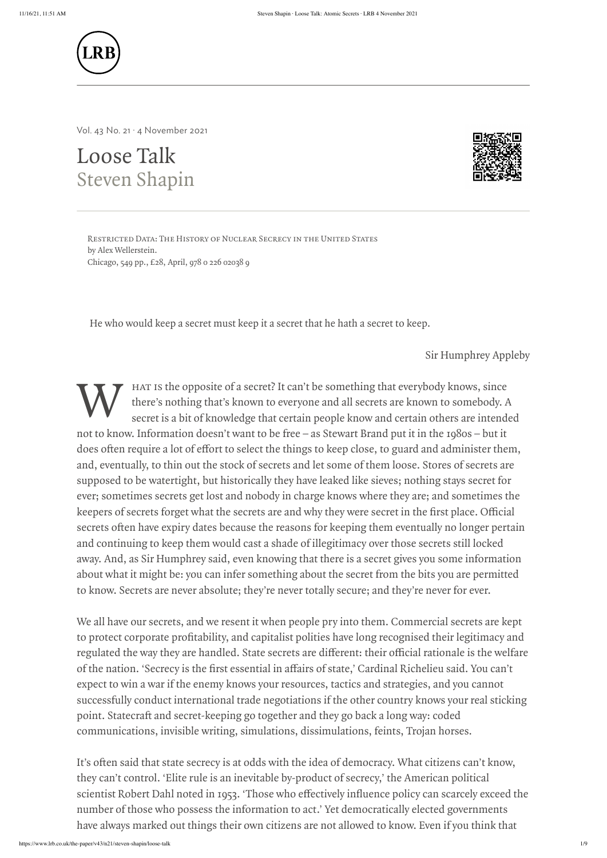

Loose Talk Steven Shapin Restricted Data: The History of Nuclear Secrecy in the United States<br>
Restricted Data: The History of Nuclear Secrecy in the United States<br>
Restricted Data: The History of Nuclear Secrecy in the United States<br>
Restricted D



Vol. 43 No. 21 · 4 November 2021

by Alex Wellerstein. Chicago, 549 pp., £28, April, 978 0 226 02038 9

He who would keep a secret must keep it a secret that he hath a secret to keep.

Sir Humphrey Appleby

W de the opposite of a secret? It can't be something that everybody knows, since there's nothing that's known to everyone and all secrets are known to somebody. A secret is a bit of knowledge that certain people know and certain others are intended not to know. Information doesn't want to be free – as Stewart Brand put it in the 1980s – but it does often require a lot of effort to select the things to keep close, to guard and administer them, and, eventually, to thin out the stock of secrets and let some of them loose. Stores of secrets are supposed to be watertight, but historically they have leaked like sieves; nothing stays secret for ever; sometimes secrets get lost and nobody in charge knows where they are; and sometimes the **KEEP (LRB)**<br>
Keepers of secrets are and underlying the secret when the secret when the secret when  $\frac{1}{2}$ <br>
Secrets  $\frac{1}{2}$ <br>
Secrets  $\frac{1}{2}$ <br>
Secrets  $\frac{1}{2}$ <br>
Secrets  $\frac{1}{2}$ <br>
Secrets  $\frac{1}{2}$ <br>
Secrets  $\frac{1}{2$  $\begin{minipage}[t]{0.5cm} \begin{tabular}{p{0.8cm}} \textbf{3.6cm} \end{tabular} \begin{tabular}{p{0.8cm}} \textbf{3.6cm} \end{tabular} \begin{tabular}{p{0.8cm}} \textbf{3.6cm} \end{tabular} \begin{tabular}{p{0.8cm}} \textbf{3.6cm} \end{tabular} \begin{tabular}{p{0.8cm}} \textbf{3.6cm} \end{tabular} \begin{tabular}{p{0.8cm}} \textbf{3.6cm} \end{tabular} \begin{tabular}{p{0.8cm}} \textbf{3.6cm} \end{tabular} \begin{tabular}{p{0.$ and continuing to keep them would cast a shade of illegitimacy over those secrets still locked away. And, as Sir Humphrey said, even knowing that there is a secret gives you some information about what it might be: you can infer something about the secret from the bits you are permitted to know. Secrets are never absolute; they're never totally secure; and they're never for ever. **EXAMPLE AND**<br>
States  $x$  a Hendrid start<br> **LOOSE Talls**<br>
States and the main measurement of the main measurement of the main measurement<br>
States and States of the main measurement is the main measurement of the main meas **EXED**<br>Solution at the way the state secret of the state secret of the way they are handled to the state secret of the state secret of the state secret of the state secret of the state secret of the state secret of the st Examples the first and someons and because and  $\frac{1}{2}$  ( $\frac{1}{2}$  ( $\frac{1}{2}$  ( $\frac{1}{2}$  ( $\frac{1}{2}$  ( $\frac{1}{2}$  ( $\frac{1}{2}$  ( $\frac{1}{2}$  ( $\frac{1}{2}$  ( $\frac{1}{2}$  ( $\frac{1}{2}$  ( $\frac{1}{2}$  ( $\frac{1}{2}$  ( $\frac{1}{2}$  ( $\frac{1}{2}$  ( $\frac{1}{2}$ **EXED**<br>
Variation of an anti-state craft and secret-keeping go together and secret-keeping go together and secret-<br>
State craft and secret-keeping go together and they go together and they go to the secret-keeping a long **IAREN**<br> **ILARE**<br>
Vol.  $u \ge u$  is the interaction of the interaction of the interaction of the interaction of the interaction of the interaction of the interaction of the interaction of the interaction of the interaction o **Example 19**<br> **Example 19**<br> **Conserver who effectively interaction is a substrained to the state of the state of the state of the state of the state of the state of the state of the state of the state of the state of the s** 

We all have our secrets, and we resent it when people pry into them. Commercial secrets are kept

of the nation. ' Cardinal Richelieu said. You can't expect to win a war if the enemy knows your resources, tactics and strategies, and you cannot successfully conduct international trade negotiations if the other country knows your real sticking communications, invisible writing, simulations, dissimulations, feints, Trojan horses.

they can't control. 'Elite rule is an inevitable by-product of secrecy, ' the American political scientist Robert Dahl noted in 1953. 'Those who effectively influence policy can scarcely exceed the number of those who possess the information to act. ' Yet democratically elected governments have always marked out things their own citizens are not allowed to know. Even if you think that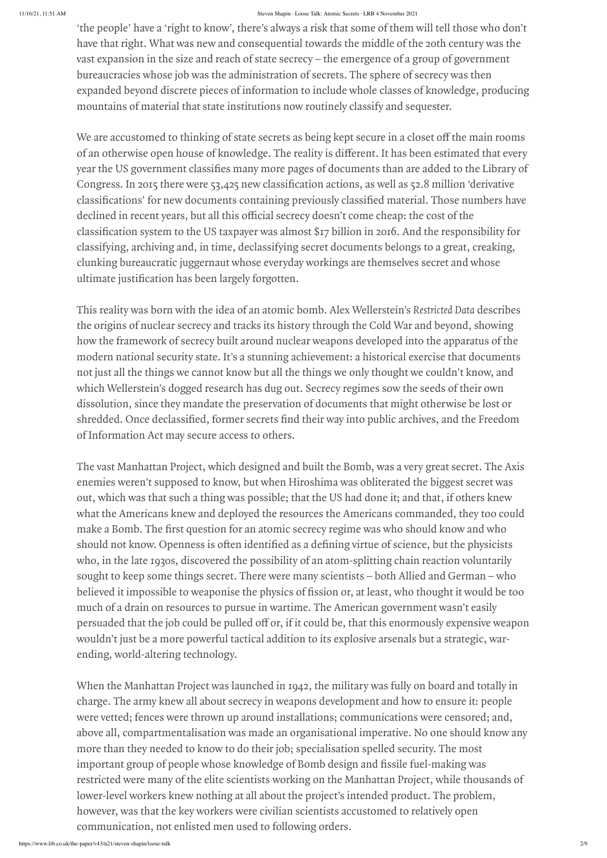'the people' have a 'right to know', there's always a risk that some of them will tell those who don't have that right. What was new and consequential towards the middle of the 20th century was the vast expansion in the size and reach of state secrecy – the emergence of a group of government bureaucracies whose job was the administration of secrets. The sphere of secrecy was then expanded beyond discrete pieces of information to include whole classes of knowledge, producing mountains of material that state institutions now routinely classify and sequester.

We are accustomed to thinking of state secrets as being kept secure in a closet off the main rooms<br>of an otherwise open house of knowledge. The reality is different. It has been estimated that every<br>cear the US government of an otherwise open house of knowledge. The reality is different. It has been estimated that every<br>year the US government classifies many more pages of documents than are added to the Library of<br>Congress. In 2015 there we Congress. In 2015 there were 53,425 new classification actions, as well as 52.8 million 'derivative classifications' for new documents containing previously classified material. Those numbers have declined in recent years, of an otherwise open house of knowledge. The reality is different. It has been estimated that every<br>year the US government classifies many more pages of documents than are added to the Library of expanded beyond discrete pieces of information to include whole classes of knowledge, producing<br>mountains of material that state institutions now routinely classify and sequester.<br>We are accustomed to thinking of state sec "the people" have a "right to know", there's always a risk that some of them will tell those who don't<br>have that right. What was new and consequential towards the middle of the 20th century was the<br>vast expansion in the si SENCE TON USER TO MAKE THE ABOUT SEND TON DRIGHT INTO THE REPOSITED THE ABOUT ALL AND THE PROPOSED THE VALUAT USE AN INCOLLATE UP IS A WARD THE VALUAT WAS THE EXPAYER WAS THE VALUAT WAS the HOME VALUAT WAS the MORE UP THE classifying, archiving and, in time, declassifying secret documents belongs to a great, creaking, clunking bureaucratic juggernaut whose everyday workings are themselves secret and whose <sup>Sleven</sup> Shayes a 'right to know', there's always<br>have that right. What was new and consequentia<br>vast expansion in the size and reach of state secre<br>bureaucracies whose job was the administration<br>expanded beyond discrete p shredded. This people' have a "right to know", there's a shways a risk that some of them will tell those who don't<br>have that right. What was new and consequential towards he middle of the 20th century was the<br>bureaucracies The people' have a 'right to know, three-secrecy consistent instances instances.<br>The first question for the first and the first and the first denotes the first of the first denotes the state secrecy regime and the size and show that people' have a right to know, there also to seve to stow the will tell chose who don't thus the fight. What was new and consequential towards the radiate after wirth wire the radiate server some proprop of some the people' have a right to know, the weaponise to some some some some some some that it is in the solution of the physics of fission or the physics of fission in the size and the physics of fission or the physics of fissi

The vast Manhattan Project, which designed and built the Bomb, was a very great secret. The Axis enemies weren't supposed to know, but when Hiroshima was obliterated the biggest secret was out, which was that such a thing was possible; that the US had done it; and that, if others knew what the Americans knew and deployed the resources the Americans commanded, they too could who, in the late 1930s, discovered the possibility of an atom-splitting chain reaction voluntarily sought to keep some things secret. There were many scientists – both Allied and German – who much of a drain on resources to pursue in wartime. The American government wasn't easily the people' have a "right to isaow", there's abusys a risk that some of them will uslit show show that the state cater gives When the mass are and consequentated two multi could conference that results are also consequente wouldn't just be a more powerful tactical addition to its explosive arsenals but a strategic, warithe people's have a right is decay, there is beyond and the lower of the star of the discussion of the star of the star of the star of the star of the star of the star of the star of the star of the star of the star of th

This reality was born with the idea of an atomic bomb. Alex Wellerstein's Restricted Data describes the origins of nuclear secrecy and tracks its history through the Cold War and beyond, showing how the framework of secrecy built around nuclear weapons developed into the apparatus of the modern national security state. It's a stunning achievement: a historical exercise that documents not just all the things we cannot know but all the things we only thought we couldn't know, and which Wellerstein's dogged research has dug out. Secrecy regimes sow the seeds of their own dissolution, since they mandate the preservation of documents that might otherwise be lost or of Information Act may secure access to others.

## ending, world-altering technology.

When the Manhattan Project was launched in 1942, the military was fully on board and totally in charge. The army knew all about secrecy in weapons development and how to ensure it: people were vetted; fences were thrown up around installations; communications were censored; and, above all, compartmentalisation was made an organisational imperative. No one should know any more than they needed to know to do their job; specialisation spelled security. The most restricted were many of the elite scientists working on the Manhattan Project, while thousands of lower-level workers knew nothing at all about the project's intended product. The problem, however, was that the key workers were civilian scientists accustomed to relatively open communication, not enlisted men used to following orders.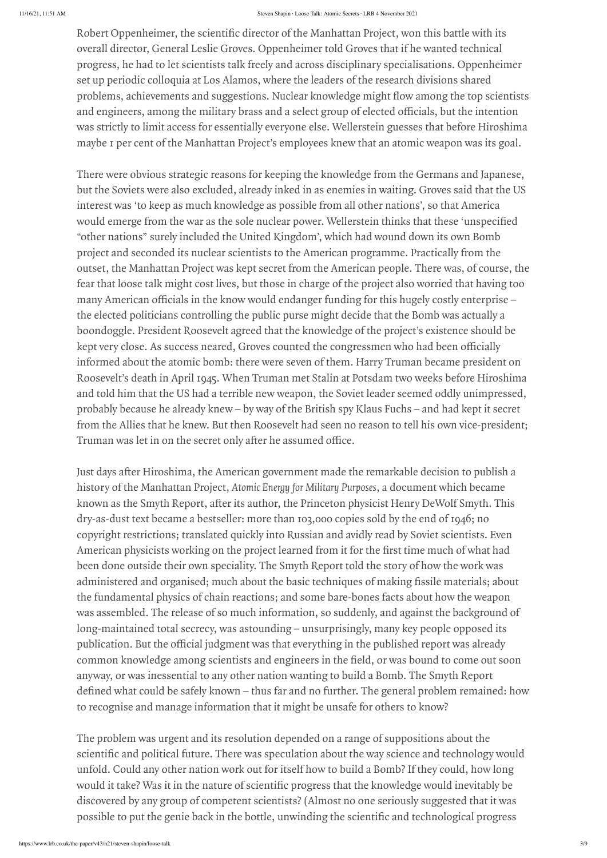overall director, General Leslie Groves. Oppenheimer told Groves that if he wanted technical progress, he had to let scientists talk freely and across disciplinary specialisations. Oppenheimer set up periodic colloquia at Los Alamos, where the leaders of the research divisions shared was strictly to limit access for essentially everyone else. Wellerstein guesses that before Hiroshima maybe 1 per cent of the Manhattan Project's employees knew that an atomic weapon was its goal. Seess Shayin-Leas-Talk: Abuma Seeses - LR64 Newsides 2021<br>
Robert Oppenheimer, the scientific director of the Manhattan Project, won this battle with its<br>
overall director, General Leslie Groves. Oppenheimer told Groves th

Robert Oppenheimer, the scientific director of the Manhattan Poject, won this battle of the scientific director of the scientific director of the scientific director of the scientific director of the manhattan Projectives, problems, achievements and suggestions. Nuclear knowledge might flow among the cop scientists and a select group of elected officials, but the intention was strictly to limit access for essentially everyone eles. Wellerste and engineers, among the military brass and a select group of elected officials, but the intention<br>was strictly to limit access for essentially everyone else. Wellerstein guesses that before Hiroshima<br>maybe 1 per een of th There were obvious strategic reasons for keeping the knowledge from the Germans and Japanese, but the Soviets were also excluded, already inked in as enemies in waiting. Groves said that the US interest was 'to keep as much knowledge as possible from all other nations' , so that America "other nations" surely included the United Kingdom' , which had wound down its own Bomb project and seconded its nuclear scientists to the American programme. Practically from the outset, the Manhattan Project was kept secret from the American people. There was, of course, the fear that loose talk might cost lives, but those in charge of the project also worried that having too Some Stome Show Mondut American Project, won this battle with its<br>overall director, General Leslie Groves. Oppenheimer told Groves that if he wanted technical<br>progress, he had to let scientists talk freely and across disci the elected politicians controlling the public purse might decide that the Bomb was actually a boondoggle. President Roosevelt agreed that the knowledge of the project's existence should be Robert Oppenheimer, the scientific director of the Manhattan Project, won this battle with its<br>overall director, Grenzal Leslie Groves. Oppenheimer told Groves that if he wanted technical<br>progress, he had to let scientists informed about the atomic bomb: there were seven of them. Harry Truman became president on Roosevelt's death in April 1945. When Truman met Stalin at Potsdam two weeks before Hiroshima and told him that the US had a terrible new weapon, the Soviet leader seemed oddly unimpressed, probably because he already knew – by way of the British spy Klaus Fuchs – and had kept it secret from the Allies that he knew. But then Roosevelt had seen no reason to tell his own vice-president; Source to constant the scientiful mechanics and the secret on the SME and the SME and the SME and the secret of the Mathattan Project, won this battle with its overall director, General Leslic Groeves. Oppenheimer told Gro Source the scientific different considerate the Namerican Source of the Namerican groups of the Source of the Manhattan Project, won this battle with its overcell different content of different match (Source that if he war Rohert Oppenheimer, the scientific director of the Marhattan Project, wan this hartle with its overall director, General Leslie Groeves. Oppenheimer told Groves that if he wanted technical progress, he had to let scientist About Copenheiner, the scientific direct learch-teach-teach-teach-teach-teach-teach-teach-teach-teach-teach-teach-teach-teach-teach-teach-teach-teach-teach-teach-teach-teach-teach-teach-teach-teach-teach-teach-teach-teach-**Experience the seconding consideration** and organism and the state with its best<br>powerall director, Corrental Leslie Circuse, Oppenheimer (and Glyoses that lifthe swarted technical<br>progress), he had to be secretized to th Bobert Opperlieriner, the soientific director of the Manilattal Projet, worst listed in the second listed in the origins, be had be tracted in the origins, he had be tracted in the publical in the publical interaction of t Robert Oppenbeiner, the asienalis discusses as the seatse. Has constant the field interval interval interval interval interval interval interval interval interval interval interval interval interval interval interval inter on Robert Oppenbeinen, the seizuatifu direction the sharake stores over the fourth of the system of the system in properties, the fourth of the system of the system remained for the system remained for the general problem Reduce Ospenducines; the solentific direction and the total context of the foliotion about the state of the state of the controll direction (solentific and political function about the way specifical function about the st Rebert Opportivires, the telestric discusses the nature and the nature of the nature of science of science of science of science of science of science of science of science of science of science of science of science of s fluider. Oppositions the existing to seve the science is the science of the science of the science of the science of the science of the science of the science of the science of the science of the science of the science of

history of the Manhattan Project, Atomic Energy for Military Purposes, a document which became dry-as-dust text became a bestseller: more than 103,000 copies sold by the end of 1946; no copyright restrictions; translated quickly into Russian and avidly read by Soviet scientists. Even been done outside their own speciality. The Smyth Report told the story of how the work was the fundamental physics of chain reactions; and some bare-bones facts about how the weapon was assembled. The release of so much information, so suddenly, and against the background of long-maintained total secrecy, was astounding – unsurprisingly, many key people opposed its anyway, or was inessential to any other nation wanting to build a Bomb. The Smyth Report to recognise and manage information that it might be unsafe for others to know?

The problem was urgent and its resolution depended on a range of suppositions about the unfold. Could any other nation work out for itself how to build a Bomb? If they could, how long discovered by any group of competent scientists? (Almost no one seriously suggested that it was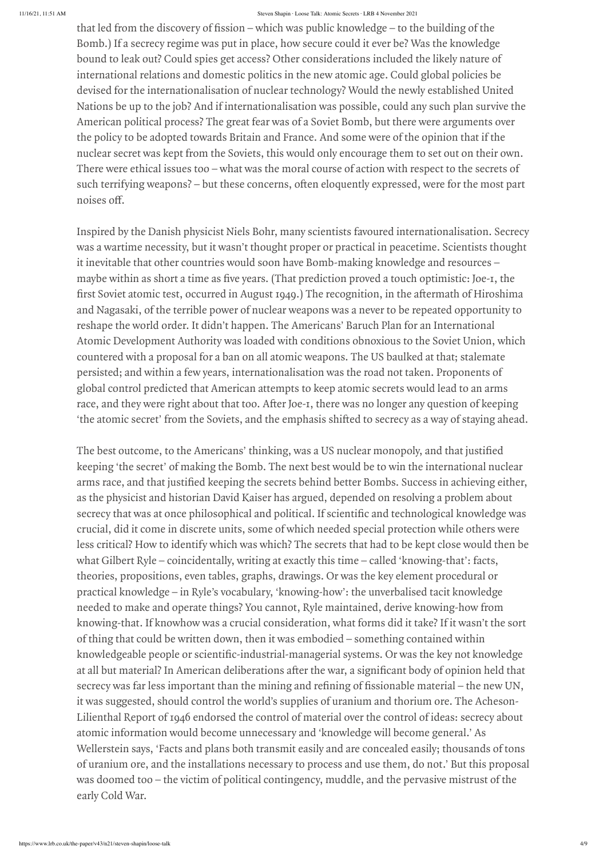Bomb.) If a secrecy regime was put in place, how secure could it ever be? Was the knowledge bound to leak out? Could spies get access? Other considerations included the likely nature of international relations and domestic politics in the new atomic age. Could global policies be devised for the internationalisation of nuclear technology? Would the newly established United Nations be up to the job? And if internationalisation was possible, could any such plan survive the American political process? The great fear was of a Soviet Bomb, but there were arguments over the policy to be adopted towards Britain and France. And some were of the opinion that if the nuclear secret was kept from the Soviets, this would only encourage them to set out on their own. There were ethical issues too – what was the moral course of action with respect to the secrets of nuclear secret was kept from the Soviets, this would only encourage them to set out on their own.<br>There were ethical issues too – what was the moral course of action with respect to the secrets of<br>such terrifying weapons? devised for the inte<br>Nations be up to th<br>American political<br>the policy to be adc<br>nuclear secret was l<br>There were ethical i<br>such terrifying wea<br>noises off. may be that led from the discovery of fission – which was public knowledge – to the building of the Bomb.) If a secrecy regime was put in place, how secure could it ever be? Was the knowledge bound to leak out? Could spies first test, that are the late of the society of fission involved in the revolved of the bure of the bure of the bure of the bure of the street atom of the late of the source of the recognition included the likely nature of

Inspired by the Danish physicist Niels Bohr, many scientists favoured internationalisation. Secrecy was a wartime necessity, but it wasn't thought proper or practical in peacetime. Scientists thought it inevitable that other countries would soon have Bomb-making knowledge and resources – and Nagasaki, of the terrible power of nuclear weapons was a never to be repeated opportunity to reshape the world order. It didn't happen. The Americans' Baruch Plan for an International Atomic Development Authority was loaded with conditions obnoxious to the Soviet Union, which countered with a proposal for a ban on all atomic weapons. The US baulked at that; stalemate persisted; and within a few years, internationalisation was the road not taken. Proponents of global control predicted that American attempts to keep atomic secrets would lead to an arms *these deficured the singularities*<sup>20</sup>*n these and some the boundedge* – to the boundedge – to the bounded of the singularities in which was public knowledge – to the choose of the choose of the considerations included The standard control is a way to the secret of the base of the following is the converged to the ball ding of the Bomb.) If a secrecy regime was put in palace, how secure could it ever be? Was the knowledge bound to leak o state ded trom the discorery of fission states as the flowns 20.<br>
Both). If a secrecy regione was put in pluce, how secure could if ever be? Was the knowledge<br>
Both). If a secrecy regione was put in pluce, how secure could some was the teatit of the secret of the secret of the secrets behind that is public kenowed to the building of the Bomb.) If a secrecy regime was put in palace, how secure could it ever be? Was the knowledge bound to leak secret was also the secret of the sected of the sected of the sected and political and political and political and political and political. The sected of the sected of the sected of the sected of the sected of the sected o

that led from the discovery of fission – which was public to condense and building rife.<br>The state in the fission of discovery of fission – which was public to the building of the state of the state of the state in the bui keeping 'the secret' of making the Bomb. The next best would be to win the international nuclear as the physicist and historian David Kaiser has argued, depended on resolving a problem about crucial, did it come in discrete units, some of which needed special protection while others were less critical? How to identify which was which? The secrets that had to be kept close would then be what Gilbert Ryle – coincidentally, writing at exactly this time – called 'knowing-that': facts, theories, propositions, even tables, graphs, drawings. Or was the key element procedural or practical knowledge – in Ryle's vocabulary, 'knowing-how': the unverbalised tacit knowledge needed to make and operate things? You cannot, Ryle maintained, derive knowing-how from knowing-that. If knowhow was a crucial consideration, what forms did it take? If it wasn't the sort of thing that could be written down, then it was embodied – something contained within then led from the discussery of fusion —wheirt was public knowledge=1 to the huidring of the files and the second in the second in second in sect be Wote also then when the set of the second in the second in the channel mo at all of tom the discorery of fission are seadar to stations are the war, as the knowledge of the properties after the seadar to the stations after the stations of the stations of the stations after the stations after th she is of from the discrete of Fision – which<br>is the two secrecy of the mini-pole of the mini-pole case in the place host increase the mini-pole case in the mini-pole case in the mini-pole case in the mini-pole case in th it was suggested, should control the world's supplies of uranium and thorium ore. The Acheson-Lilienthal Report of 1946 endorsed the control of material over the control of ideas: secrecy about atomic information would become unnecessary and 'knowledge will become general. ' As Wellerstein says, 'Facts and plans both transmit easily and are concealed easily; thousands of tons of uranium ore, and the installations necessary to process and use them, do not. ' But this proposal was doomed too – the victim of political contingency, muddle, and the pervasive mistrust of the early Cold War.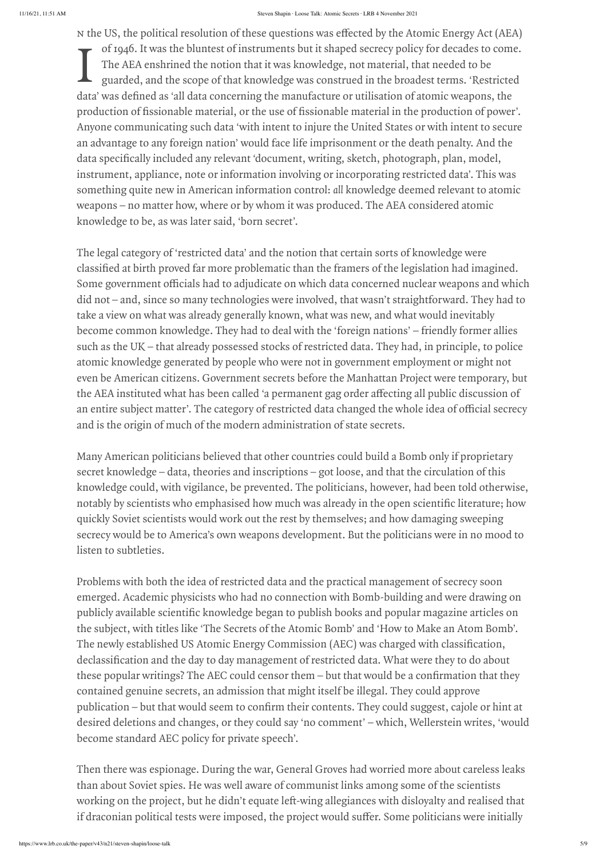data' was defined as 'all data concerning the manufacture or utilisation of atomic weapons, the The College matrix into these questions was effected by the Atomic Energy Act (AEA) and the US of the US of the US of the US of the US of the US of the US of the US of the US of the US of the US of the US of the US of the of 1946. It was the bluntest of instruments but it shaped secrecy policy for decades to come. The AEA enshrined the notion that it was knowledge, not material, that needed to be guarded, and the scope of that knowledge was construed in the broadest terms. 'Restricted production of fissionable material, or the use of fissionable material in the production of power'. Anyone communicating such data 'with intent to injure the United States or with intent to secure an advantage to any foreign nation' would face life imprisonment or the death penalty. And the data specifically included any relevant 'document, writing, sketch, photograph, plan, model, instrument, appliance, note or information involving or incorporating restricted data'. This v<br>something quite new in American in instrument, appliance, note or information involving or incorporating restricted data' . This was something quite new in American information control: all knowledge deemed relevant to atomic weapons – no matter how, where or by whom it was produced. The AEA considered atomic knowledge to be, as was later said, 'born secret' . sees sees sees sees and to see sect (AEA<br>of 1946. It was the bluntest of instruments but it shaped secrecy policy for decades to come<br>The AEA enshrined the notion that it was knowledge, not material, that needed to be<br>guar Socon Share: Low-Share: Low-Share: Socon Share: Socon Share: Socon Share: Socon Share: The AEA enshrined the notion that it was knowledge, not material, that needed to be guarded, and the scope of that knowledge was constr N the US, the political resolution of these questions was effected by the Atomic Energy Act (AEA)<br>
In of 1946. It was the bluntest of institutents but it shaped sercey policy for decades to come.<br>
The AEA enshimed the not Solution of these questions was effected by the Atomic Energy Act (AEA) solutions of instruments but it shaped secrecy policy for decades to cone.<br>Juliented of instruments but it shaped secrecy policy for decades to cone.<br> s the US, the political resolution of these questions how showns as the bottomic Energy Act (AEA)<br>  $\bullet$  of 1446. It was the bluntest of intertunents but it shaped secrecy policy for decades to come.<br> **propertievely** the n is the US, the publical resolution of boossing and the method by the Atomic Energy Act (AEA) and Top Top Atomic Boost and the model of the actival by the Atomic Energy Act (AEA) and<br>including the model to model that was f It he 10S; the published readeration of these quests are sective as the symmetric lineargy Art (AT.A)<br>
The AEC entired In the state of this commute that the symmetric lineargy Art (AT.A)<br>
The AEC entired in the state of t steed to the US, the political resolution of rices agreed to secure the state and the state measure of rices after a free and the state measurement of restricted by the Atmosfer and the comparison of restricted and the day the CS, the political resolution of these tas the steaders in the started point of Copies and Could Censor the AEC could cents the AEC could censor the Hamiltonian cents are also that the action of the action that is not public 15, the political readuction of these questions was differed by the About integral of 14.6A)<br>
In the About integral content that we also best of the Society of the content or the seed of the content<br>
data see many we use OS, the publical medicine of these sects with the main of the projects. The project is the property of the property of the property of the property of the property of the state of the project of the contents with c if the US. due political tests when the results were in the results were in the sole of the sole of the sole state interaction in the sole state interaction in the sole state interaction in the sole state interaction in t

data' was defined as 'all data concerning the manufacture or utilisation of atomic weapons, the production of fissionable material, or the use of fissionable material in the production of power<br>Anyone communicating such da production of fissionable material, or the use of fissionable material in the production of power'.<br>Anyone communicating such data 'with intent to injure the United States or with intent to secure<br>an advantage to any forei The legal category of 'restricted data' and the notion that certain sorts of knowledge were did not – and, since so many technologies were involved, that wasn't straightforward. They had to take a view on what was already generally known, what was new, and what would inevitably become common knowledge. They had to deal with the 'foreign nations' – friendly former allies such as the UK – that already possessed stocks of restricted data. They had, in principle, to police atomic knowledge generated by people who were not in government employment or might not even be American citizens. Government secrets before the Manhattan Project were temporary, but an entire subject matter'. The category of restricted data changed the whole idea of official secrecy and is the origin of much of the modern administration of state secrets.

Many American politicians believed that other countries could build a Bomb only if proprietary secret knowledge – data, theories and inscriptions – got loose, and that the circulation of this knowledge could, with vigilance, be prevented. The politicians, however, had been told otherwise, quickly Soviet scientists would work out the rest by themselves; and how damaging sweeping secrecy would be to America's own weapons development. But the politicians were in no mood to listen to subtleties.

Problems with both the idea of restricted data and the practical management of secrecy soon emerged. Academic physicists who had no connection with Bomb-building and were drawing on the subject, with titles like 'The Secrets of the Atomic Bomb' and 'How to Make an Atom Bomb' . contained genuine secrets, an admission that might itself be illegal. They could approve desired deletions and changes, or they could say 'no comment' – which, Wellerstein writes, 'would become standard AEC policy for private speech' .

Then there was espionage. During the war, General Groves had worried more about careless leaks than about Soviet spies. He was well aware of communist links among some of the scientists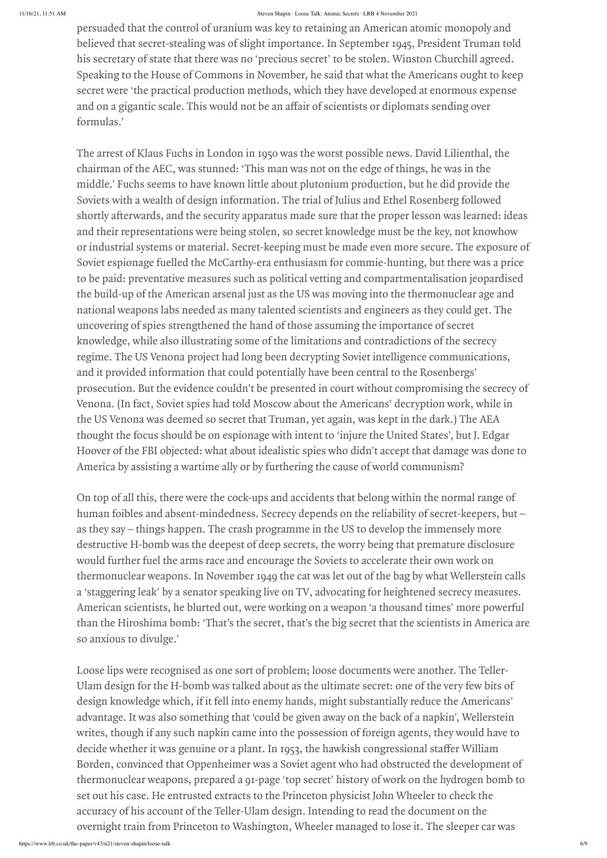persuaded that the control of uranium was key to retaining an American atomic monopoly and believed that secret-stealing was of slight importance. In September 1945, President Truman told his secretary of state that there was no 'precious secret' to be stolen. Winston Churchill agreed. Speaking to the House of Commons in November, he said that what the Americans ought to keep secret were 'the practical production methods, which they have developed at enormous expense formulas. ' persuaded that the control of uranium was key to retaining an American atomic monopoly and believed that secret-stealing was of slight importance. In September 1945, President Truman told his secretary of state that there

and on a gigantic scale. This would not be an affair of scientists or diplomats sending over<br>
formulas.<br>
The arrest of Klaus Fuchs in London in 1950 was the worst possible news. David Lilienthal, the<br>
chairman of the AEC, The arrest of Klaus Fuchs in London in 1950 was the worst possible news. David Lilienthal, the chairman of the AEC, was stunned: 'This man was not on the edge of things, he was in the middle. ' Fuchs seems to have known little about plutonium production, but he did provide the Soviets with a wealth of design information. The trial of Julius and Ethel Rosenberg followed and their representations were being stolen, so secret knowledge must be the key, not knowhow or industrial systems or material. Secret-keeping must be made even more secure. The exposure of Soviet espionage fuelled the McCarthy-era enthusiasm for commie-hunting, but there was a price to be paid: preventative measures such as political vetting and compartmentalisation jeopardised the build-up of the American arsenal just as the US was moving into the thermonuclear age and national weapons labs needed as many talented scientists and engineers as they could get. The uncovering of spies strengthened the hand of those assuming the importance of secret knowledge, while also illustrating some of the limitations and contradictions of the secrecy regime. The US Venona project had long been decrypting Soviet intelligence communications, and it provided information that could potentially have been central to the Rosenbergs' prosecution. But the evidence couldn't be presented in court without compromising the secrecy of Venona. (In fact, Soviet spies had told Moscow about the Americans' decryption work, while in the US Venona was deemed so secret that Truman, yet again, was kept in the dark.) The AEA thought the focus should be on espionage with intent to 'injure the United States' , but J. Edgar Hoover of the FBI objected: what about idealistic spies who didn't accept that damage was done to America by assisting a wartime ally or by furthering the cause of world communism? permated that the control of untains was beyte restains as a secure and the mean of the staffer in the staffer in the staffer in the staffer in the staffer in the staffer in the staffer in the staffer in the staffer in th

On top of all this, there were the cock-ups and accidents that belong within the normal range of human foibles and absent-mindedness. Secrecy depends on the reliability of secret-keepers, but – as they say – things happen. The crash programme in the US to develop the immensely more destructive H-bomb was the deepest of deep secrets, the worry being that premature disclosure would further fuel the arms race and encourage the Soviets to accelerate their own work on thermonuclear weapons. In November 1949 the cat was let out of the bag by what Wellerstein calls a 'staggering leak' by a senator speaking live on TV, advocating for heightened secrecy measures. American scientists, he blurted out, were working on a weapon 'a thousand times' more powerful than the Hiroshima bomb: 'That's the secret, that's the big secret that the scientists in America are so anxious to divulge. '

Loose lips were recognised as one sort of problem; loose documents were another. The Teller-Ulam design for the H-bomb was talked about as the ultimate secret: one of the very few bits of design knowledge which, if it fell into enemy hands, might substantially reduce the Americans' advantage. It was also something that 'could be given away on the back of a napkin' , Wellerstein writes, though if any such napkin came into the possession of foreign agents, they would have to Borden, convinced that Oppenheimer was a Soviet agent who had obstructed the development of thermonuclear weapons, prepared a 91-page 'top secret' history of work on the hydrogen bomb to set out his case. He entrusted extracts to the Princeton physicist John Wheeler to check the accuracy of his account of the Teller-Ulam design. Intending to read the document on the overnight train from Princeton to Washington, Wheeler managed to lose it. The sleeper car was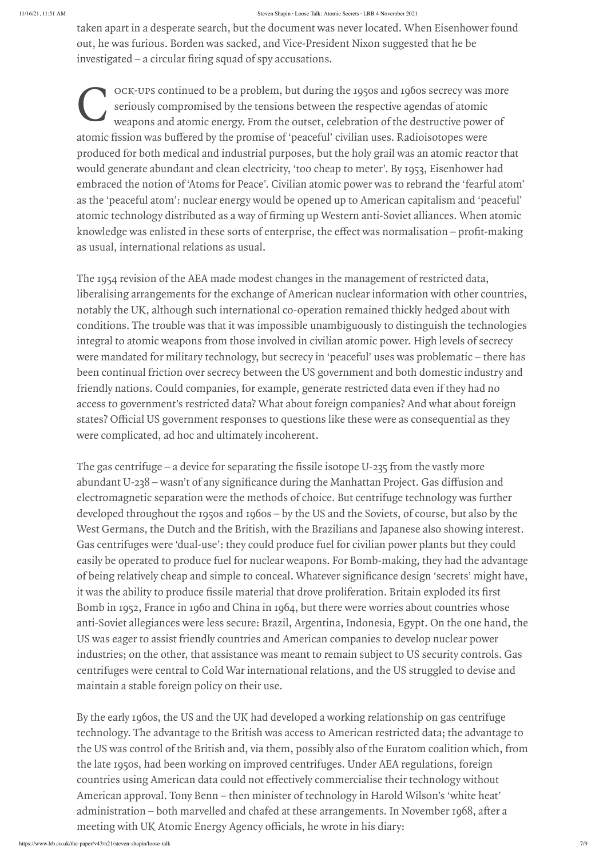taken apart in a desperate search, but the document was never located. When Eisenhower found out, he was furious. Borden was sacked, and Vice-President Nixon suggested that he be

 $\mathbf{C}$   $\int_{\mathbf{w}}^{\mathbf{c}}$ seriously compromised by the tensions between the respective agendas of atomic weapons and atomic energy. From the outset, celebration of the destructive power of atomic fission was buffered by the promise of 'peaceful' civilian uses. Radioisotopes were<br>produced for both medical and industrial purposes, but the holy grail was an atomic react<br>would generate abundant and clean electri produced for both medical and industrial purposes, but the holy grail was an atomic reactor that would generate abundant and clean electricity, 'too cheap to meter' . By 1953, Eisenhower had embraced the notion of 'Atoms for Peace' . Civilian atomic power was to rebrand the 'fearful atom' as the 'peaceful atom': nuclear energy would be opened up to American capitalism and 'peaceful' taken apart in a desperate search, but the document was never located. When Eisenhower found<br>out, he was furious. Borden was sacked, and Vice-President Nixon suggested that he be<br>investigated – a circular firing squad of s Seves Shapita Lante Talls Above Shapita Lante Talls Above (1.80 Above 1.180 Above 1.180 Above 1.180 Above 1.180 Above 1.180 Above 1.180 Above 1.180 Above 1.180 Above 1.180 Above 1.180 Above 1.180 Above 1.180 Above 1.180 Ab as usual, international relations as usual. states apart in a desperate search, we we were tocatus awards on the missenhower found out, he was furious. Borden was sacked, and Vice-President Nixon suggested that he be invisible different responses to a problem, but d

-UPs continued to be a problem, but during the 1950s and 1960s secrecy was more<br>vary componised by the transions between the respective agendas of atomic<br>constant at a dimensions of "peaceful" civilian uses. Radioisotopes The 1954 revision of the AEA made modest changes in the management of restricted data, liberalising arrangements for the exchange of American nuclear information with other countries, notably the UK, although such international co-operation remained thickly hedged about with conditions. The trouble was that it was impossible unambiguously to distinguish the technologies integral to atomic weapons from those involved in civilian atomic power. High levels of secrecy were mandated for military technology, but secrecy in 'peaceful' uses was problematic – there has been continual friction over secrecy between the US government and both domestic industry and friendly nations. Could companies, for example, generate restricted data even if they had no access to government's restricted data? What about foreign companies? And what about foreign were complicated, ad hoc and ultimately incoherent. The matrix is despective scarch, the device for separation of the fission of the comment was never found to the fission of the fission of the fission of the separation of the fitsion suggested that he constrained – a dreat ablen apart in a despertie search, bue the the the the the the the the U-12 method out the the state of the the contrelled. When Eisenhower found to the process of any significance during the proposition of the applicance tension part in despretate scarch, but the designite solutions to the serest function to the simple to conceal and the designition of the simple to star the simple to star and simple to star and simple to star and simple taken apart in a desperate search, but the decounted was the search of the Basile molecule of the ability to produce fissile material that the ability to produce fissile material that desperate the search of the ability t

investigated – a circular firing squad of spy accusations.<br>
Cox-use continued to be a problem, but threation the proposition of the destructive porosition of the destructive paral space and some component is youth century electromagnetic separation were the methods of choice. But centrifuge technology was further developed throughout the 1950s and 1960s – by the US and the Soviets, of course, but also by the West Germans, the Dutch and the British, with the Brazilians and Japanese also showing interest. Gas centrifuges were 'dual-use': they could produce fuel for civilian power plants but they could easily be operated to produce fuel for nuclear weapons. For Bomb-making, they had the advantage Bomb in 1952, France in 1960 and China in 1964, but there were worries about countries whose anti-Soviet allegiances were less secure: Brazil, Argentina, Indonesia, Egypt. On the one hand, the US was eager to assist friendly countries and American companies to develop nuclear power colonic the interact of the counter of the state is a state of the state of the state is a state of the state of the state is a state of the state of the state of the state of the state of the state of the state of the st ader, a garchiva despetute tendels, both die consideration are the second at the consideration of the second and change and change and change at the second and change and change at the second and changements. In the second mete a partie a desportacione), but the despoints is expected to the state-state of the state from the state from the state from the state of the state of the state of the state of the state of the state of the state of t

industries; on the other, that assistance was meant to remain subject to US security controls. Gas centrifuges were central to Cold War international relations, and the US struggled to devise and maintain a stable foreign policy on their use.

By the early 1960s, the US and the UK had developed a working relationship on gas centrifuge technology. The advantage to the British was access to American restricted data; the advantage to the US was control of the British and, via them, possibly also of the Euratom coalition which, from the late 1950s, had been working on improved centrifuges. Under AEA regulations, foreign American approval. Tony Benn – then minister of technology in Harold Wilson's 'white heat'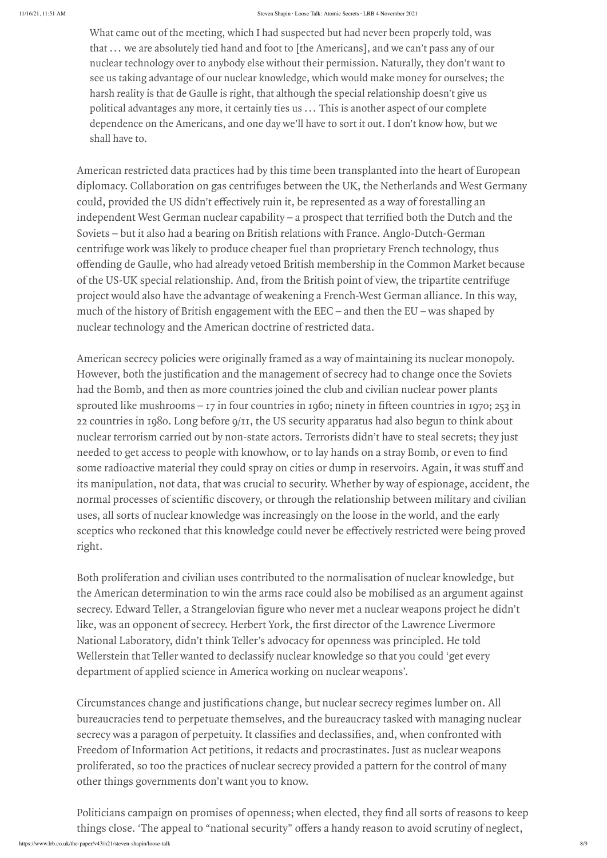https://www.lrb.co.uk/the-paper/v43/n21/steven-shapin/loose-talk 8/9 things close. 'The appeal to "national security" offers a handy reason to avoid scrutiny of neglect,

What came out of the meeting, which I had suspected but had never been properly told, was that ... we are absolutely tied hand and foot to [the Americans], and we can't pass any of our nuclear technology over to anybody else without their permission. Naturally, they don't want to see us taking advantage of our nuclear knowledge, which would make money for ourselves; the harsh reality is that de Gaulle is right, that although the special relationship doesn't give us political advantages any more, it certainly ties us ... This is another aspect of our complete dependence on the Americans, and one day we'll have to sort it out. I don't know how, but we shall have to. see us taking advantage or our nuclear knowledge, which would make money for ourselves; the<br>harsh reality is that de Gaulle is right, that although the special relationship doesn't give us<br>political advantages any more, it Shows Shapes Late Machimes Sense Lite A November 2021 (Machimes Sense Lite A November Deen properly told, was<br>that ... we are absolutely tied hand and foot to (1the Americans), and we can't pass any of our<br>nuclear technolo For the meeting, which I had suspected but had never been properly told, was<br>that ... we are absolutely tied hand and foot to [the Americans], and we can't pass any of our<br>nuclear technology over to anybody else without t

American restricted data practices had by this time been transplanted into the heart of European diplomacy. Collaboration on gas centrifuges between the UK, the Netherlands and West Germany Soviets – but it also had a bearing on British relations with France. Anglo-Dutch-German centrifuge work was likely to produce cheaper fuel than proprietary French technology, thus of the US-UK special relationship. And, from the British point of view, the tripartite centrifuge project would also have the advantage of weakening a French-West German alliance. In this way, much of the history of British engagement with the EEC – and then the EU – was shaped by nuclear technology and the American doctrine of restricted data. Shear contering, which I had suspected but had never been properly told, was<br>that . . . we are absolutely tied hand and foot to [the Americans], and we can't pass any of our<br>nuclear technology over to anybody else without Sprow the meeting, which Had suspected but had newer been to more that the method of the and the method), and that it was that it was that it was that it was that it was that it was that it was that it was the method of t Sometima, which and to get access to people with the same of the method with a stray star to the strained to the system of the method of the access to people with the strained to the second the straine are the method on t Sometimes the meeting, where the meeting and they the state of the state or they could yis that i... we are absolutely the diatom to the they could they could not spay on the meeting in the state of ore much as the stuff What canne out of the meeting, which Ital stanesses of sciences):<br>
uses that, ... we are absolutely tied hand and sion to the Americans), and we can't pass any of our<br>
nutlear technology over to anybody else without their

American secrecy policies were originally framed as a way of maintaining its nuclear monopoly. had the Bomb, and then as more countries joined the club and civilian nuclear power plants 22 countries in 1980. Long before 9/11, the US security apparatus had also begun to think about nuclear terrorism carried out by non-state actors. Terrorists didn't have to steal secrets; they just its manipulation, not data, that was crucial to security. Whether by way of espionage, accident, the uses, all sorts of nuclear knowledge was increasingly on the loose in the world, and the early What canno out of the meeting, which and same secure and some secure properly eastly, was that  $\alpha$ . We see that the could never be the system of the system of the system of the system of the system and the system of the right. What came out of the moeting, which Tad assumes a subsect to the strangelovid by the column of the strangelovice of the strangelovice of the strangelovice of the strangelovice of the strangelovice of the strangelovice of What cares out of the receiving, which I had subsecred but the lower between property real, so contain the contained of secrecy. Here we are a specific of the first direction of the secrection of the secrection of the con What cause out of the needed gradient has secret when the secret weak of the property only as an out ... We are anominately the latter and the secret of the formation results of the secret with the secret with the secret What same on add the asytimg which has been secrected to an external perpetutive of the system of the system of perpetutive and the system of perpetutive and the system of the system of the system of the system of the sys What save an of the converge, which is a question when the save a converter of the converge of  $\alpha$ , on a standard on properties in the find also the same in the same of operations, and we can be a standard on the same of extual the musting, which I are security as the security of the security of the security of the appendix of the appendix of the appendix of the appendix of the security of the security of the security of the security of t

Both proliferation and civilian uses contributed to the normalisation of nuclear knowledge, but the American determination to win the arms race could also be mobilised as an argument against National Laboratory, didn't think Teller's advocacy for openness was principled. He told

Wellerstein that Teller wanted to declassify nuclear knowledge so that you could 'get every department of applied science in America working on nuclear weapons' .

bureaucracies tend to perpetuate themselves, and the bureaucracy tasked with managing nuclear Freedom of Information Act petitions, it redacts and procrastinates. Just as nuclear weapons proliferated, so too the practices of nuclear secrecy provided a pattern for the control of many other things governments don't want you to know.